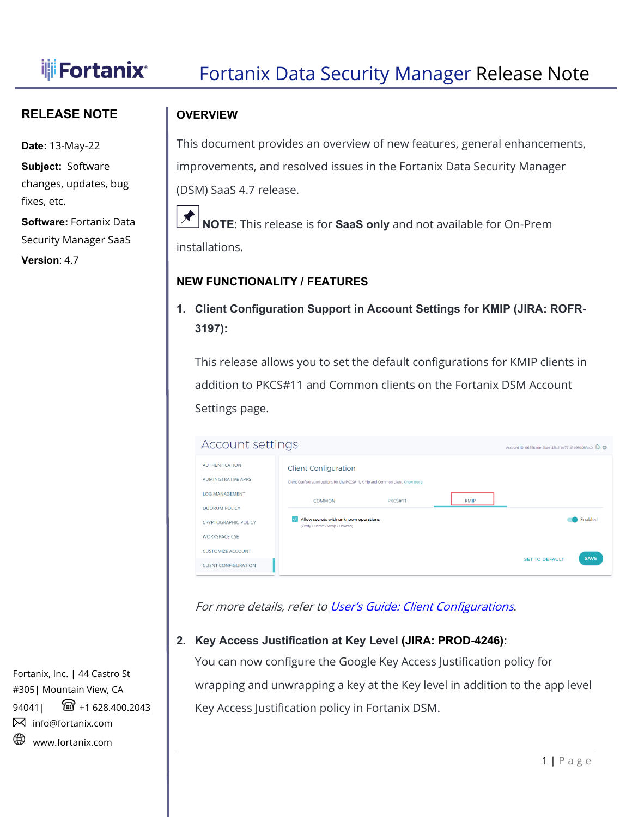# **Fortanix** Fortanix Data Security Manager Release Note

### **RELEASE NOTE**

**Date:** 13-May-22

**Subject:** Software changes, updates, bug fixes, etc.

**Software:** Fortanix Data Security Manager SaaS

**Version**: 4.7

## I **OVERVIEW**

This document provides an overview of new features, general enhancements, improvements, and resolved issues in the Fortanix Data Security Manager (DSM) SaaS 4.7 release.



**NOTE**: This release is for **SaaS only** and not available for On-Prem installations.

### **NEW FUNCTIONALITY / FEATURES**

**1. Client Configuration Support in Account Settings for KMIP (JIRA: ROFR-3197):**

This release allows you to set the default configurations for KMIP clients in addition to PKCS#11 and Common clients on the Fortanix DSM Account Settings page.

| <b>Account settings</b><br>Account ID: d6858ede-6bae-43b2-be77-41b99408fa40 D @ |                                                                                                                                           |                                      |  |  |
|---------------------------------------------------------------------------------|-------------------------------------------------------------------------------------------------------------------------------------------|--------------------------------------|--|--|
| <b>AUTHENTICATION</b><br><b>ADMINISTRATIVE APPS</b><br><b>LOG MANAGEMENT</b>    | <b>Client Configuration</b><br>Client Configuration options for the PKCS#11, Kmip and Common client Know more<br>PKCS#11<br><b>COMMON</b> | <b>KMIP</b>                          |  |  |
| <b>QUORUM POLICY</b><br><b>CRYPTOGRAPHIC POLICY</b><br><b>WORKSPACE CSE</b>     | Allow secrets with unknown operations<br>(Verify / Derive / Wrap / Unwrap)                                                                | Enabled                              |  |  |
| <b>CUSTOMIZE ACCOUNT</b><br><b>CLIENT CONFIGURATION</b>                         |                                                                                                                                           | <b>SAVE</b><br><b>SET TO DEFAULT</b> |  |  |

For more details, refer to [User's Guide: Client Configurations](https://support.fortanix.com/hc/en-us/articles/4764402409876-User-s-Guide-Client-Configurations#setting-the-configuration-options-for-the-kmip-clients-0-4).

## **2. Key Access Justification at Key Level (JIRA: PROD-4246):**

You can now configure the Google Key Access Justification policy for wrapping and unwrapping a key at the Key level in addition to the app level Key Access Justification policy in Fortanix DSM.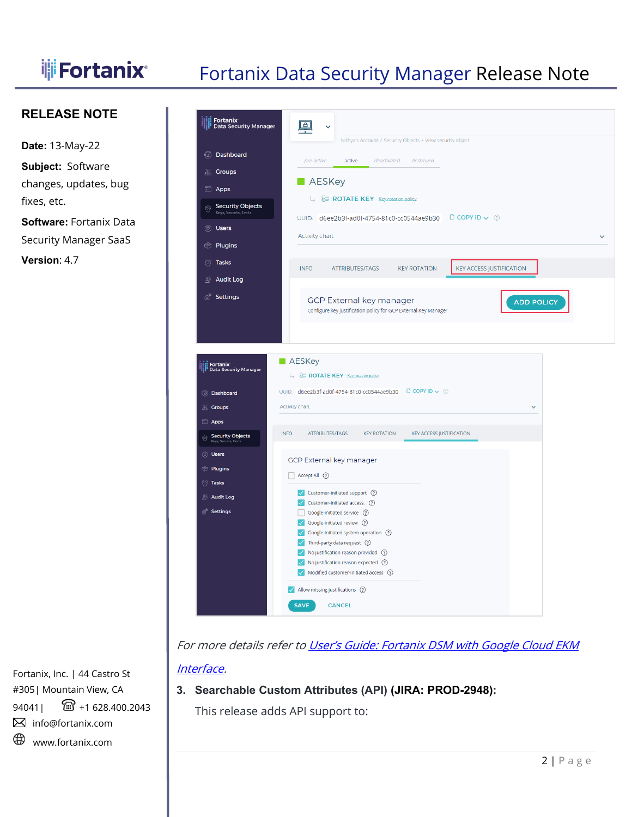# **iff Fortanix** Fortanix Data Security Manager Release Note

### **RELEASE NOTE**

**Date:** 13-May-22 **Subject:** Software

changes, updates, bug fixes, etc.

**Software:** Fortanix Data Security Manager SaaS

**Version**: 4.7



For more details refer to User's Guide: Fortanix DSM with Google Cloud EKM [Interface.](https://support.fortanix.com/hc/en-us/articles/360030816111-Using-Fortanix-Data-Security-Manager-with-Google-Cloud-EKM-Interface#4-9-add-key-access-justification-policy-for-an-existing-key-optional--0-13)

### **3. Searchable Custom Attributes (API) (JIRA: PROD-2948):**

This release adds API support to: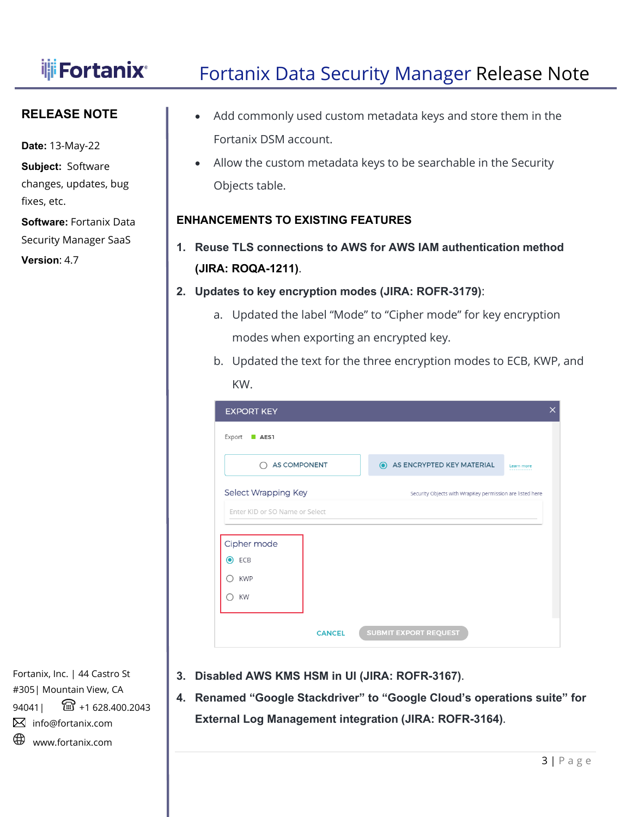I

# **Fortanix** Fortanix Data Security Manager Release Note

### **RELEASE NOTE**

**Date:** 13-May-22

**Subject:** Software changes, updates, bug fixes, etc.

**Software:** Fortanix Data Security Manager SaaS

**Version**: 4.7

- Add commonly used custom metadata keys and store them in the Fortanix DSM account.
- Allow the custom metadata keys to be searchable in the Security Objects table.

### **ENHANCEMENTS TO EXISTING FEATURES**

- **1. Reuse TLS connections to AWS for AWS IAM authentication method (JIRA: ROQA-1211)**.
- **2. Updates to key encryption modes (JIRA: ROFR-3179)**:
	- a. Updated the label "Mode" to "Cipher mode" for key encryption modes when exporting an encrypted key.
	- b. Updated the text for the three encryption modes to ECB, KWP, and KW.

| <b>EXPORT KEY</b>              |                                                          | $\times$ |
|--------------------------------|----------------------------------------------------------|----------|
| Export<br>AES1                 |                                                          |          |
| <b>AS COMPONENT</b><br>∩       | AS ENCRYPTED KEY MATERIAL<br>$\odot$<br>Learn more       |          |
| Select Wrapping Key            | Security Objects with WrapKey permission are listed here |          |
| Enter KID or SO Name or Select |                                                          |          |
| Cipher mode                    |                                                          |          |
| ◉<br>ECB                       |                                                          |          |
| <b>KWP</b>                     |                                                          |          |
| <b>KW</b>                      |                                                          |          |
|                                |                                                          |          |
| <b>CANCEL</b>                  | <b>SUBMIT EXPORT REQUEST</b>                             |          |

- **3. Disabled AWS KMS HSM in UI (JIRA: ROFR-3167)**.
- **4. Renamed "Google Stackdriver" to "Google Cloud's operations suite" for External Log Management integration (JIRA: ROFR-3164)**.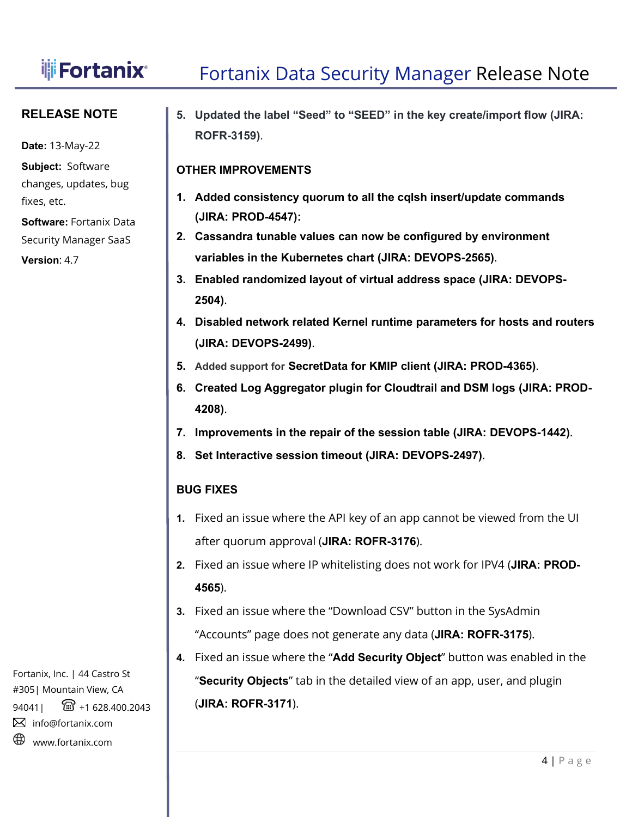# **if** Fortanix<sup>®</sup> Fortanix Data Security Manager Release Note

### **RELEASE NOTE**

**Date:** 13-May-22

**Subject:** Software changes, updates, bug fixes, etc.

**Software:** Fortanix Data Security Manager SaaS

**Version**: 4.7

I **5. Updated the label "Seed" to "SEED" in the key create/import flow (JIRA: ROFR-3159)**.

## **OTHER IMPROVEMENTS**

- **1. Added consistency quorum to all the cqlsh insert/update commands (JIRA: PROD-4547):**
- **2. Cassandra tunable values can now be configured by environment variables in the Kubernetes chart (JIRA: DEVOPS-2565)**.
- **3. Enabled randomized layout of virtual address space (JIRA: DEVOPS-2504)**.
- **4. Disabled network related Kernel runtime parameters for hosts and routers (JIRA: DEVOPS-2499)**.
- **5. Added support for SecretData for KMIP client (JIRA: PROD-4365)**.
- **6. Created Log Aggregator plugin for Cloudtrail and DSM logs (JIRA: PROD-4208)**.
- **7. Improvements in the repair of the session table (JIRA: DEVOPS-1442)**.
- **8. Set Interactive session timeout (JIRA: DEVOPS-2497)**.

## **BUG FIXES**

- **1.** Fixed an issue where the API key of an app cannot be viewed from the UI after quorum approval (**JIRA: ROFR-3176**).
- **2.** Fixed an issue where IP whitelisting does not work for IPV4 (**JIRA: PROD-4565**).
- **3.** Fixed an issue where the "Download CSV" button in the SysAdmin "Accounts" page does not generate any data (**JIRA: ROFR-3175**).
- **4.** Fixed an issue where the "**Add Security Object**" button was enabled in the "**Security Objects**" tab in the detailed view of an app, user, and plugin (**JIRA: ROFR-3171**).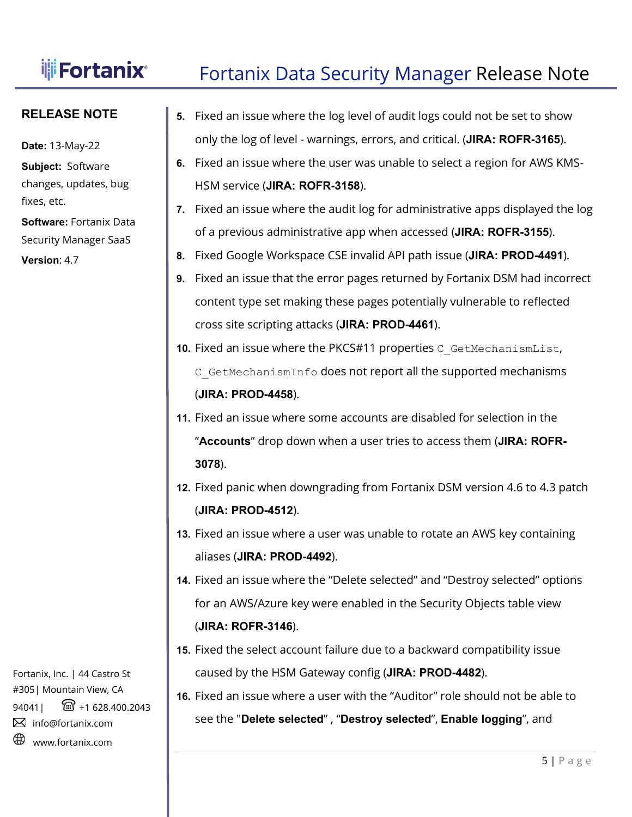# **Fortanix** Fortanix Data Security Manager Release Note

### **RELEASE NOTE**

I

**Date:** 13-May-22

**Subject:** Software changes, updates, bug fixes, etc.

**Software:** Fortanix Data Security Manager SaaS

**Version**: 4.7

**5.** Fixed an issue where the log level of audit logs could not be set to show only the log of level - warnings, errors, and critical. (**JIRA: ROFR-3165**).

- **6.** Fixed an issue where the user was unable to select a region for AWS KMS-HSM service (**JIRA: ROFR-3158**).
- **7.** Fixed an issue where the audit log for administrative apps displayed the log of a previous administrative app when accessed (**JIRA: ROFR-3155**).
- **8.** Fixed Google Workspace CSE invalid API path issue (**JIRA: PROD-4491**).
- **9.** Fixed an issue that the error pages returned by Fortanix DSM had incorrect content type set making these pages potentially vulnerable to reflected cross site scripting attacks (**JIRA: PROD-4461**).
- 10. Fixed an issue where the PKCS#11 properties C GetMechanismList, C GetMechanismInfo does not report all the supported mechanisms (**JIRA: PROD-4458**).
- **11.** Fixed an issue where some accounts are disabled for selection in the "**Accounts**" drop down when a user tries to access them (**JIRA: ROFR-3078**).
- **12.** Fixed panic when downgrading from Fortanix DSM version 4.6 to 4.3 patch (**JIRA: PROD-4512**).
- **13.** Fixed an issue where a user was unable to rotate an AWS key containing aliases (**JIRA: PROD-4492**).
- **14.** Fixed an issue where the "Delete selected" and "Destroy selected" options for an AWS/Azure key were enabled in the Security Objects table view (**JIRA: ROFR-3146**).
- **15.** Fixed the select account failure due to a backward compatibility issue caused by the HSM Gateway config (**JIRA: PROD-4482**).
- **16.** Fixed an issue where a user with the "Auditor" role should not be able to see the "**Delete selected**" , "**Destroy selected**", **Enable logging**", and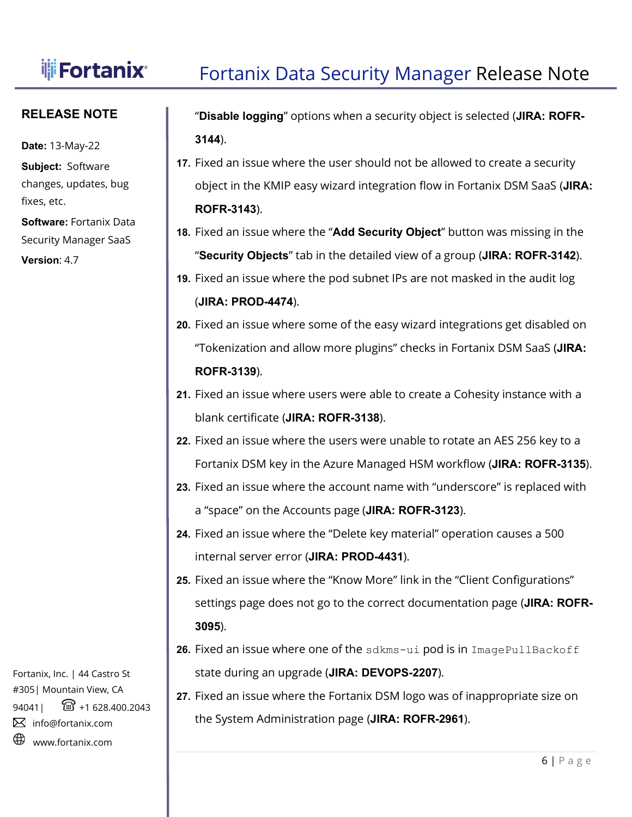I

# **Fortanix** Fortanix Data Security Manager Release Note

### **RELEASE NOTE**

**Date:** 13-May-22

**Subject:** Software changes, updates, bug fixes, etc.

**Software:** Fortanix Data Security Manager SaaS

**Version**: 4.7

"**Disable logging**" options when a security object is selected (**JIRA: ROFR-3144**).

- **17.** Fixed an issue where the user should not be allowed to create a security object in the KMIP easy wizard integration flow in Fortanix DSM SaaS (**JIRA: ROFR-3143**).
- **18.** Fixed an issue where the "**Add Security Object**" button was missing in the "**Security Objects**" tab in the detailed view of a group (**JIRA: ROFR-3142**).
- **19.** Fixed an issue where the pod subnet IPs are not masked in the audit log (**JIRA: PROD-4474**).
- **20.** Fixed an issue where some of the easy wizard integrations get disabled on "Tokenization and allow more plugins" checks in Fortanix DSM SaaS (**JIRA: ROFR-3139**).
- **21.** Fixed an issue where users were able to create a Cohesity instance with a blank certificate (**JIRA: ROFR-3138**).
- **22.** Fixed an issue where the users were unable to rotate an AES 256 key to a Fortanix DSM key in the Azure Managed HSM workflow (**JIRA: ROFR-3135**).
- **23.** Fixed an issue where the account name with "underscore" is replaced with a "space" on the Accounts page (**JIRA: ROFR-3123**).
- **24.** Fixed an issue where the "Delete key material" operation causes a 500 internal server error (**JIRA: PROD-4431**).
- **25.** Fixed an issue where the "Know More" link in the "Client Configurations" settings page does not go to the correct documentation page (**JIRA: ROFR-3095**).
- **26.** Fixed an issue where one of the sdkms-ui pod is in ImagePullBackoff state during an upgrade (**JIRA: DEVOPS-2207**).
- **27.** Fixed an issue where the Fortanix DSM logo was of inappropriate size on the System Administration page (**JIRA: ROFR-2961**).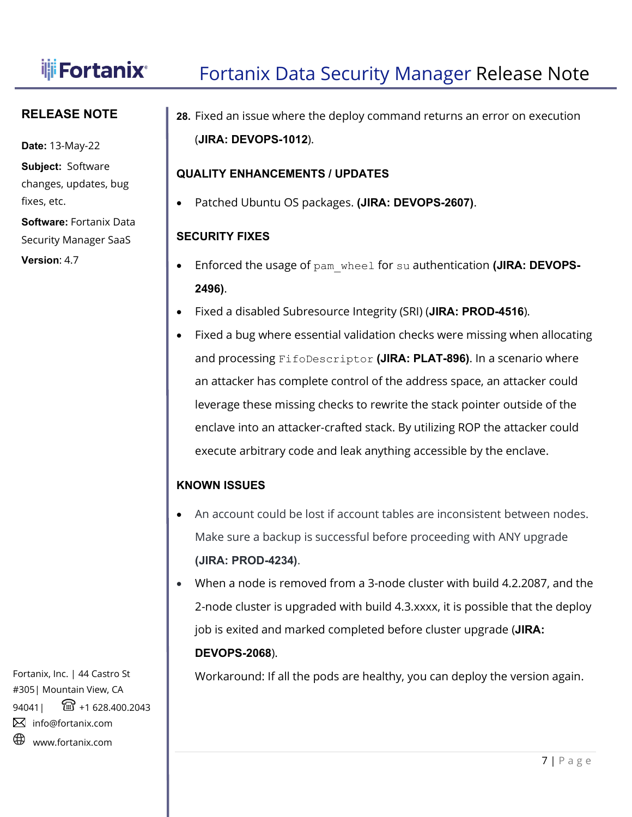# **if** Fortanix<sup>®</sup> Fortanix Data Security Manager Release Note

## **RELEASE NOTE**

**Date:** 13-May-22

**Subject:** Software changes, updates, bug fixes, etc.

**Software:** Fortanix Data Security Manager SaaS

**Version**: 4.7

**28.** Fixed an issue where the deploy command returns an error on execution (**JIRA: DEVOPS-1012**).

## **QUALITY ENHANCEMENTS / UPDATES**

• Patched Ubuntu OS packages. **(JIRA: DEVOPS-2607)**.

# **SECURITY FIXES**

I

- Enforced the usage of pam\_wheel for su authentication **(JIRA: DEVOPS-2496)**.
- Fixed a disabled Subresource Integrity (SRI) (**JIRA: PROD-4516**).
- Fixed a bug where essential validation checks were missing when allocating and processing FifoDescriptor **(JIRA: PLAT-896)**. In a scenario where an attacker has complete control of the address space, an attacker could leverage these missing checks to rewrite the stack pointer outside of the enclave into an attacker-crafted stack. By utilizing ROP the attacker could execute arbitrary code and leak anything accessible by the enclave.

## **KNOWN ISSUES**

- An account could be lost if account tables are inconsistent between nodes. Make sure a backup is successful before proceeding with ANY upgrade **(JIRA: PROD-4234)**.
- When a node is removed from a 3-node cluster with build 4.2.2087, and the 2-node cluster is upgraded with build 4.3.xxxx, it is possible that the deploy job is exited and marked completed before cluster upgrade (**JIRA: DEVOPS-2068**).

Workaround: If all the pods are healthy, you can deploy the version again.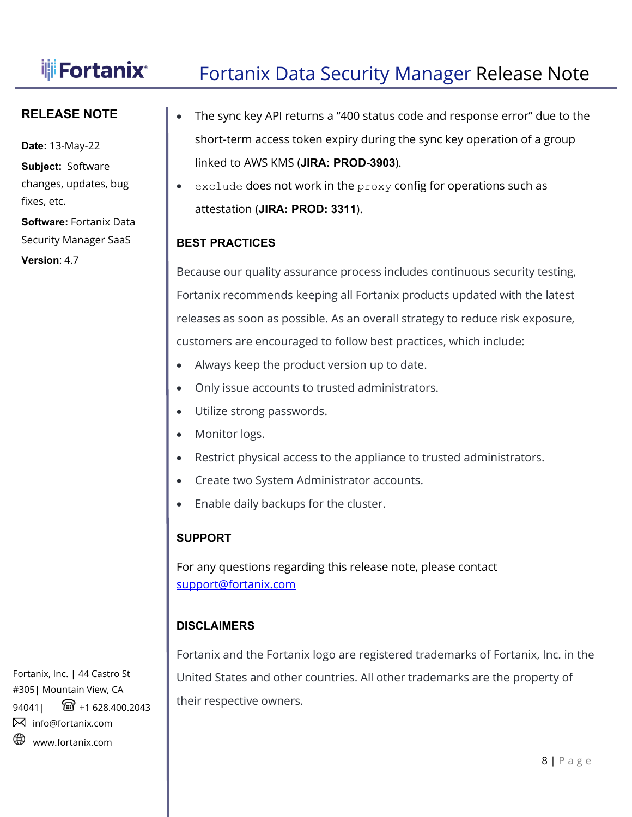# **Fortanix** Fortanix Data Security Manager Release Note

### **RELEASE NOTE**

**Date:** 13-May-22 **Subject:** Software

changes, updates, bug fixes, etc.

**Software:** Fortanix Data Security Manager SaaS

**Version**: 4.7

- The sync key API returns a "400 status code and response error" due to the short-term access token expiry during the sync key operation of a group linked to AWS KMS (**JIRA: PROD-3903**).
- exclude does not work in the proxy config for operations such as attestation (**JIRA: PROD: 3311**).

### **BEST PRACTICES**

I

Because our quality assurance process includes continuous security testing, Fortanix recommends keeping all Fortanix products updated with the latest releases as soon as possible. As an overall strategy to reduce risk exposure, customers are encouraged to follow best practices, which include:

- Always keep the product version up to date.
- Only issue accounts to trusted administrators.
- Utilize strong passwords.
- Monitor logs.
- Restrict physical access to the appliance to trusted administrators.
- Create two System Administrator accounts.
- Enable daily backups for the cluster.

## **SUPPORT**

For any questions regarding this release note, please contact [support@fortanix.com](mailto:support@fortanix.com)

## **DISCLAIMERS**

Fortanix and the Fortanix logo are registered trademarks of Fortanix, Inc. in the United States and other countries. All other trademarks are the property of their respective owners.